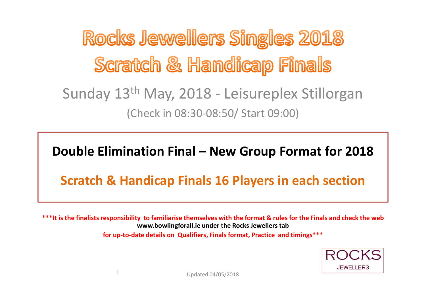Rocks Jewellers Singles 2018 Scratch & Handicap Finals Sunday 13th May, 2018 - Leisureplex Stillorgan (Check in 08:30-08:50/ Start 09:00)

### **Double Elimination Final – New Group Format for 2018**

### **Scratch & Handicap Finals 16 Players in each section**

**\*\*\*It is the finalists responsibility to familiarise themselves with the format & rules for the Finals and check the web www.bowlingforall.ie under the Rocks Jewellers tabfor up-to-date details on Qualifiers, Finals format, Practice and timings\*\*\***

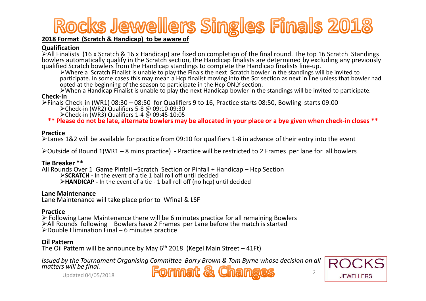## Rocks Jewellers Singles Finals 2018

#### **2018 Format (Scratch & Handicap) to be aware of**

#### **Qualification**

 $\triangleright$  All Finalists (16 x Scratch & 16 x Handicap) are fixed on completion of the final round. The top 16 Scratch Standings bowlers automatically qualify in the Scratch section, the Handicap finalists are determined by excluding any previously qualified Scratch bowlers from the Handicap standings to complete the Handicap finalists line-up.

 Where a Scratch Finalist is unable to play the Finals the next Scratch bowler in the standings will be invited to participate. In some cases this may mean a Hcp finalist moving into the Scr section as next in line unless that bowler had opted at the beginning of the season to participate in the Hcp ONLY section.

 When a Handicap Finalist is unable to play the next Handicap bowler in the standings will be invited to participate. **Check-in**

>Finals Check-in (WR1) 08:30 – 08:50 for Qualifiers 9 to 16, Practice starts 08:50, Bowling starts 09:00<br>
► Chack in (WR3) Qualifiant 5.8 ® 00:10 00:20

Check-in (WR2) Qualifiers 5-8 @ 09:10-09:30

Check-in (WR3) Qualifiers 1-4 @ 09:45-10:05

**\*\* Please do not be late, alternate bowlers may be allocated in your place or a bye given when check-in closes \*\***

#### **Practice**

Lanes 1&2 will be available for practice from 09:10 for qualifiers 1-8 in advance of their entry into the event

 $\blacktriangleright$ Outside of Round 1(WR1 – 8 mins practice) - Practice will be restricted to 2 Frames per lane for all bowlers

#### **Tie Breaker \*\***

All Rounds Over 1 Game Pinfall –Scratch Section or Pinfall + Handicap – Hcp Section **SCRATCH -** In the event of a tie 1 ball roll off until decided**HANDICAP -** In the event of a tie - 1 ball roll off (no hcp) until decided

#### **Lane Maintenance**

Lane Maintenance will take place prior to Wfinal & LSF

#### **Practice**

 $\triangleright$  Follo ► Following Lane Maintenance there will be 6 minutes practice for all remaining Bowlers<br>►All Rounds following – Bowlers have 2 Frames per Lane before the match is started<br>► Double Flimination Final  $\blacktriangleright$  Double Elimination Final – 6 minutes practice

#### **Oil Pattern**

The Oil Pattern will be announce by May 6<sup>th</sup> 2018 (Kegel Main Street – 41Ft)

*Issued by the Tournament Organising Committee Barry Brown & Tom Byrne whose decision on all matters will be final.*<br>Updated 04/05/2018<br><sup>2</sup> 2

Updated 04/05/2018

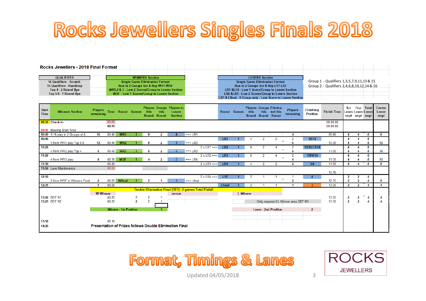# Rocks Jewellers Singles Finals 2018

| Rocks Jewellers - 2018 Final Format |                                                   |                                       |                        |  |  |  |                                                           |  |                       |  |  |  |                                            |  |  |  |  |  |
|-------------------------------------|---------------------------------------------------|---------------------------------------|------------------------|--|--|--|-----------------------------------------------------------|--|-----------------------|--|--|--|--------------------------------------------|--|--|--|--|--|
|                                     |                                                   |                                       |                        |  |  |  |                                                           |  |                       |  |  |  |                                            |  |  |  |  |  |
| <b>QUALIFIERS</b>                   |                                                   |                                       | <b>WINNERS Section</b> |  |  |  |                                                           |  | <b>LOSERS Section</b> |  |  |  |                                            |  |  |  |  |  |
| 16 Qualifiers - Scratch             |                                                   | <b>Single Game Elimination Format</b> |                        |  |  |  | <b>Single Game Elimination Format</b>                     |  |                       |  |  |  | Group 1 - Qualifiers 1,3,5,7,9,11,13 & 15  |  |  |  |  |  |
| 16 Qualifiers - Handicap            | Run in 2 Groups Scr & Hcp WR1 WSF                 |                                       |                        |  |  |  | Run in 2 Groups Scr & Hcp LR1-LSF                         |  |                       |  |  |  | Group 2 - Qualifiers 2,4,6,8,10,12,14 & 16 |  |  |  |  |  |
| Top 4 - 2 Round Bye                 | WR1,2 & 3 - Low 2 Scores/Group to Losers Section  |                                       |                        |  |  |  | LR1 &LR4 - Low 1 Score/Group to Losers Section            |  |                       |  |  |  |                                            |  |  |  |  |  |
| Top 5-8 - 1 Round Bye               | <b>WSF - Low 1 Scores/Group to Losers Section</b> |                                       |                        |  |  |  | LR2 &LR3 - Low 2 Scores/Group to Losers Section           |  |                       |  |  |  |                                            |  |  |  |  |  |
|                                     |                                                   |                                       |                        |  |  |  | LSF & Lfinal - 1 Group only - Low Score to Losers Section |  |                       |  |  |  |                                            |  |  |  |  |  |

| <b>Start</b><br><b>Time</b> | <b>Winners Section</b>           | <b>Players</b><br>remaining  |                |                 | <b>Time Round Games</b> | this<br>Round  | this<br>Round | <b>Players Groups Players to</b><br>Losers<br><b>Section</b>   |                               |                     |                             | Round Games     | this<br>Round | this<br>Round Round | <b>Players Groups Elimina</b><br>ted this | <b>Players</b><br>remaining           | Finishing<br><b>Position</b> | <b>Finish Time Lanes Lanes Lanes</b> | Scr                    | <b>Hcp</b> Total<br>regd regd regd |   | Centre<br>Lanes<br>regd |
|-----------------------------|----------------------------------|------------------------------|----------------|-----------------|-------------------------|----------------|---------------|----------------------------------------------------------------|-------------------------------|---------------------|-----------------------------|-----------------|---------------|---------------------|-------------------------------------------|---------------------------------------|------------------------------|--------------------------------------|------------------------|------------------------------------|---|-------------------------|
|                             | 08:30 Check-in                   |                              | 00:20<br>00:10 |                 |                         |                |               |                                                                |                               |                     |                             |                 |               |                     |                                           |                                       |                              | 08:50:00<br>09:00:00                 |                        |                                    |   |                         |
|                             | 09:00 Bowling Start Time         |                              |                |                 |                         |                |               |                                                                |                               |                     |                             |                 |               |                     |                                           |                                       |                              |                                      |                        |                                    |   |                         |
|                             | 09:00 9-16 play in 2 Groups of 4 | 16                           | 00:40          | WR1             |                         | 8              | $\mathbf{p}$  |                                                                | $\Rightarrow$ LR1             |                     |                             |                 |               |                     |                                           |                                       |                              | 09:40                                |                        |                                    | 8 | 8                       |
| 09:40                       |                                  |                              |                |                 |                         |                |               |                                                                |                               |                     | LR1                         |                 |               | 2                   | 2                                         | o                                     | 15/16                        |                                      |                        |                                    | 8 |                         |
|                             | 4 from WR1 play Top 5-8          | 12                           | 00:40          | WR <sub>2</sub> |                         |                |               |                                                                | $\Rightarrow$ LR2             |                     |                             |                 |               |                     |                                           |                                       |                              | 10:20                                |                        |                                    |   | 16                      |
| 10:20                       |                                  |                              |                |                 |                         |                |               |                                                                |                               | $2 \times LR1 == >$ | LR <sub>2</sub>             |                 |               |                     |                                           | $\overline{2}$                        | 11/12/13/14                  |                                      |                        |                                    | 8 |                         |
|                             | 4 from WR2 play Top 4            | 8                            | 00:40          | WR3             |                         |                |               |                                                                | $==$ LR3                      |                     |                             |                 |               |                     |                                           |                                       |                              | 11:00                                |                        |                                    | 8 | 16                      |
| 11:00                       |                                  |                              |                |                 |                         |                |               |                                                                |                               | $2 \times LR2 == >$ | LR <sub>3</sub>             |                 |               |                     |                                           | o                                     | 7/8/9/10                     |                                      |                        |                                    | 8 |                         |
|                             | 4 from WR3 play                  |                              | 00:30          | <b>WSF</b>      |                         |                |               |                                                                | $\Rightarrow$ LR4             |                     |                             |                 |               |                     |                                           |                                       |                              | 11:30                                |                        |                                    |   | 16                      |
| 11:30                       |                                  |                              | 00:20          |                 |                         |                |               |                                                                |                               | $2 \times LR3 == >$ | LR4                         |                 |               | 2                   | 2                                         | $\overline{\phantom{a}}$              | 5/6                          | 11:50                                | $\boldsymbol{\Lambda}$ |                                    | 8 | 8                       |
|                             | 11:50 Lane Maintenance           |                              | 00:20          |                 |                         |                |               |                                                                |                               |                     |                             |                 |               |                     |                                           |                                       |                              |                                      |                        |                                    |   |                         |
|                             |                                  |                              |                |                 |                         |                |               |                                                                |                               |                     |                             |                 |               |                     |                                           |                                       |                              | 12:10                                |                        |                                    |   |                         |
| 12:10                       | 2 from WSF in Winners Final      |                              | 00:25          | Wfinal          |                         |                |               |                                                                | $\equiv$ $\Rightarrow$ Lfinal | $2 \times LR4 == >$ | LSF                         |                 | 2             |                     |                                           |                                       | $\overline{4}$               | 12:35                                |                        |                                    |   |                         |
| 12:35                       |                                  |                              | 00:25          |                 |                         |                |               |                                                                |                               |                     | <b>Lfinal</b>               |                 | 2             |                     |                                           |                                       | 3                            | 13:00                                | 2                      | 2                                  |   |                         |
|                             |                                  |                              |                |                 |                         |                |               | <b>Double Elimination Final (DEF) - 2 games Total Pinfall</b>  |                               |                     |                             |                 |               |                     |                                           |                                       |                              |                                      |                        |                                    |   |                         |
|                             |                                  | <b>W</b> Winner              |                |                 |                         |                |               | versus                                                         |                               |                     |                             | <b>L</b> Winner |               |                     |                                           |                                       |                              |                                      |                        |                                    |   |                         |
|                             | 13:00 DEF R1                     |                              | 00:25          |                 | 2                       | $\overline{2}$ |               |                                                                |                               |                     |                             |                 |               |                     |                                           |                                       |                              | 13:25                                | 2                      | 2                                  |   |                         |
|                             | 13:25 DEF R2                     |                              | 00:25          |                 | $\overline{2}$          | $\overline{2}$ |               |                                                                |                               |                     |                             |                 |               |                     |                                           | Only required if L Winner wins DEF R1 |                              | 13:50                                | $\overline{2}$         | $\overline{ }$                     |   |                         |
|                             |                                  |                              |                |                 |                         |                |               |                                                                |                               |                     |                             |                 |               |                     |                                           |                                       |                              |                                      |                        |                                    |   |                         |
|                             |                                  | <b>Winner - 1st Position</b> |                |                 |                         |                |               |                                                                |                               |                     | <b>Loser - 2nd Position</b> |                 |               |                     |                                           | $\mathbf{2}$                          |                              |                                      |                        |                                    |   |                         |
|                             |                                  |                              |                |                 |                         |                |               |                                                                |                               |                     |                             |                 |               |                     |                                           |                                       |                              |                                      |                        |                                    |   |                         |
|                             |                                  |                              |                |                 |                         |                |               |                                                                |                               |                     |                             |                 |               |                     |                                           |                                       |                              |                                      |                        |                                    |   |                         |
| 13:50                       |                                  |                              | 00:10          |                 |                         |                |               |                                                                |                               |                     |                             |                 |               |                     |                                           |                                       |                              |                                      |                        |                                    |   |                         |
| 14:00                       |                                  |                              |                |                 |                         |                |               | <b>Presentation of Prizes follows Double Elimination Final</b> |                               |                     |                             |                 |               |                     |                                           |                                       |                              |                                      |                        |                                    |   |                         |





Updated 04/05/2018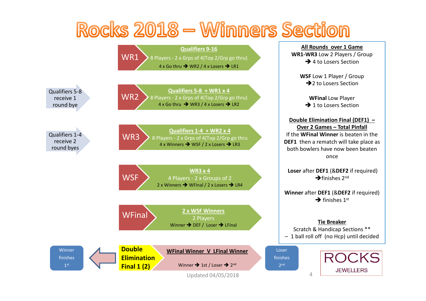